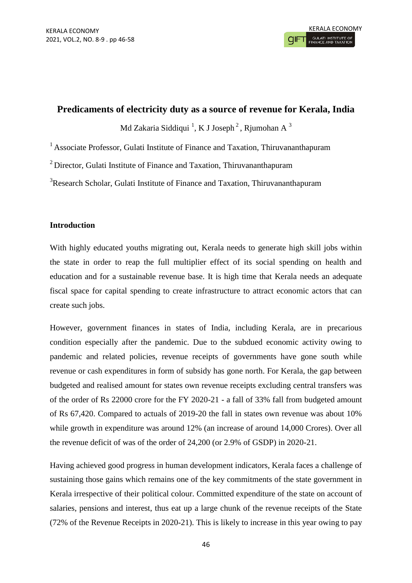# **Predicaments of electricity duty as a source of revenue for Kerala, India**

Md Zakaria Siddiqui  $^{1}$ , K J Joseph  $^{2}$  , Rjumohan A  $^{3}$ 

<sup>1</sup> Associate Professor, Gulati Institute of Finance and Taxation, Thiruvananthapuram

<sup>2</sup> Director, Gulati Institute of Finance and Taxation, Thiruvananthapuram

<sup>3</sup>Research Scholar, Gulati Institute of Finance and Taxation, Thiruvananthapuram

## **Introduction**

With highly educated youths migrating out, Kerala needs to generate high skill jobs within the state in order to reap the full multiplier effect of its social spending on health and education and for a sustainable revenue base. It is high time that Kerala needs an adequate fiscal space for capital spending to create infrastructure to attract economic actors that can create such jobs.

However, government finances in states of India, including Kerala, are in precarious condition especially after the pandemic. Due to the subdued economic activity owing to pandemic and related policies, revenue receipts of governments have gone south while revenue or cash expenditures in form of subsidy has gone north. For Kerala, the gap between budgeted and realised amount for states own revenue receipts excluding central transfers was of the order of Rs 22000 crore for the FY 2020-21 - a fall of 33% fall from budgeted amount of Rs 67,420. Compared to actuals of 2019-20 the fall in states own revenue was about 10% while growth in expenditure was around 12% (an increase of around 14,000 Crores). Over all the revenue deficit of was of the order of 24,200 (or 2.9% of GSDP) in 2020-21.

Having achieved good progress in human development indicators, Kerala faces a challenge of sustaining those gains which remains one of the key commitments of the state government in Kerala irrespective of their political colour. Committed expenditure of the state on account of salaries, pensions and interest, thus eat up a large chunk of the revenue receipts of the State (72% of the Revenue Receipts in 2020-21). This is likely to increase in this year owing to pay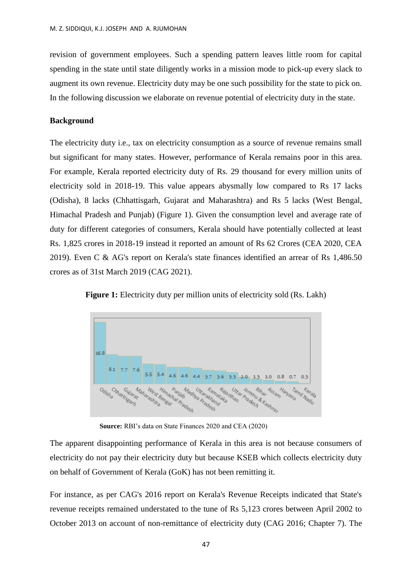revision of government employees. Such a spending pattern leaves little room for capital spending in the state until state diligently works in a mission mode to pick-up every slack to augment its own revenue. Electricity duty may be one such possibility for the state to pick on. In the following discussion we elaborate on revenue potential of electricity duty in the state.

### **Background**

The electricity duty i.e., tax on electricity consumption as a source of revenue remains small but significant for many states. However, performance of Kerala remains poor in this area. For example, Kerala reported electricity duty of Rs. 29 thousand for every million units of electricity sold in 2018-19. This value appears abysmally low compared to Rs 17 lacks (Odisha), 8 lacks (Chhattisgarh, Gujarat and Maharashtra) and Rs 5 lacks (West Bengal, Himachal Pradesh and Punjab) (Figure 1). Given the consumption level and average rate of duty for different categories of consumers, Kerala should have potentially collected at least Rs. 1,825 crores in 2018-19 instead it reported an amount of Rs 62 Crores (CEA 2020, CEA 2019). Even C & AG's report on Kerala's state finances identified an arrear of Rs 1,486.50 crores as of 31st March 2019 (CAG 2021).



**Figure 1:** Electricity duty per million units of electricity sold (Rs. Lakh)

**Source:** RBI's data on State Finances 2020 and CEA (2020)

The apparent disappointing performance of Kerala in this area is not because consumers of electricity do not pay their electricity duty but because KSEB which collects electricity duty on behalf of Government of Kerala (GoK) has not been remitting it.

For instance, as per CAG's 2016 report on Kerala's Revenue Receipts indicated that State's revenue receipts remained understated to the tune of Rs 5,123 crores between April 2002 to October 2013 on account of non-remittance of electricity duty (CAG 2016; Chapter 7). The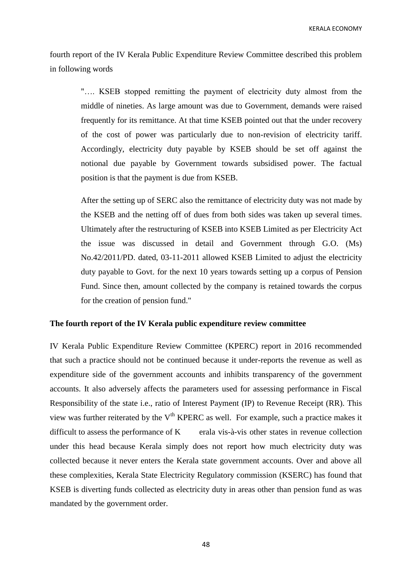fourth report of the IV Kerala Public Expenditure Review Committee described this problem in following words

"…. KSEB stopped remitting the payment of electricity duty almost from the middle of nineties. As large amount was due to Government, demands were raised frequently for its remittance. At that time KSEB pointed out that the under recovery of the cost of power was particularly due to non-revision of electricity tariff. Accordingly, electricity duty payable by KSEB should be set off against the notional due payable by Government towards subsidised power. The factual position is that the payment is due from KSEB.

After the setting up of SERC also the remittance of electricity duty was not made by the KSEB and the netting off of dues from both sides was taken up several times. Ultimately after the restructuring of KSEB into KSEB Limited as per Electricity Act the issue was discussed in detail and Government through G.O. (Ms) No.42/2011/PD. dated, 03-11-2011 allowed KSEB Limited to adjust the electricity duty payable to Govt. for the next 10 years towards setting up a corpus of Pension Fund. Since then, amount collected by the company is retained towards the corpus for the creation of pension fund."

### **The fourth report of the IV Kerala public expenditure review committee**

IV Kerala Public Expenditure Review Committee (KPERC) report in 2016 recommended that such a practice should not be continued because it under-reports the revenue as well as expenditure side of the government accounts and inhibits transparency of the government accounts. It also adversely affects the parameters used for assessing performance in Fiscal Responsibility of the state i.e., ratio of Interest Payment (IP) to Revenue Receipt (RR). This view was further reiterated by the  $V<sup>th</sup> KPERC$  as well. For example, such a practice makes it difficult to assess the performance of  $K$  erala vis-à-vis other states in revenue collection under this head because Kerala simply does not report how much electricity duty was collected because it never enters the Kerala state government accounts. Over and above all these complexities, Kerala State Electricity Regulatory commission (KSERC) has found that KSEB is diverting funds collected as electricity duty in areas other than pension fund as was mandated by the government order.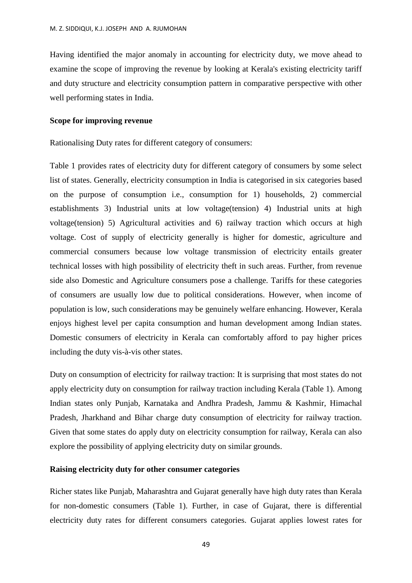Having identified the major anomaly in accounting for electricity duty, we move ahead to examine the scope of improving the revenue by looking at Kerala's existing electricity tariff and duty structure and electricity consumption pattern in comparative perspective with other well performing states in India.

### **Scope for improving revenue**

Rationalising Duty rates for different category of consumers:

Table 1 provides rates of electricity duty for different category of consumers by some select list of states. Generally, electricity consumption in India is categorised in six categories based on the purpose of consumption i.e., consumption for 1) households, 2) commercial establishments 3) Industrial units at low voltage(tension) 4) Industrial units at high voltage(tension) 5) Agricultural activities and 6) railway traction which occurs at high voltage. Cost of supply of electricity generally is higher for domestic, agriculture and commercial consumers because low voltage transmission of electricity entails greater technical losses with high possibility of electricity theft in such areas. Further, from revenue side also Domestic and Agriculture consumers pose a challenge. Tariffs for these categories of consumers are usually low due to political considerations. However, when income of population is low, such considerations may be genuinely welfare enhancing. However, Kerala enjoys highest level per capita consumption and human development among Indian states. Domestic consumers of electricity in Kerala can comfortably afford to pay higher prices including the duty vis-à-vis other states.

Duty on consumption of electricity for railway traction: It is surprising that most states do not apply electricity duty on consumption for railway traction including Kerala (Table 1). Among Indian states only Punjab, Karnataka and Andhra Pradesh, Jammu & Kashmir, Himachal Pradesh, Jharkhand and Bihar charge duty consumption of electricity for railway traction. Given that some states do apply duty on electricity consumption for railway, Kerala can also explore the possibility of applying electricity duty on similar grounds.

## **Raising electricity duty for other consumer categories**

Richer states like Punjab, Maharashtra and Gujarat generally have high duty rates than Kerala for non-domestic consumers (Table 1). Further, in case of Gujarat, there is differential electricity duty rates for different consumers categories. Gujarat applies lowest rates for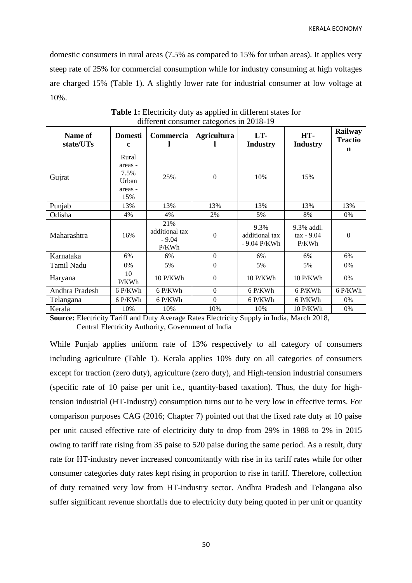domestic consumers in rural areas (7.5% as compared to 15% for urban areas). It applies very steep rate of 25% for commercial consumption while for industry consuming at high voltages are charged 15% (Table 1). A slightly lower rate for industrial consumer at low voltage at 10%.

| Name of<br>state/UTs | <b>Domesti</b><br>$\mathbf c$                       |                                           | <b>Agricultura</b> | LT-<br><b>Industry</b>                 | HT-<br><b>Industry</b>              | Railway<br><b>Tractio</b><br>$\mathbf n$ |
|----------------------|-----------------------------------------------------|-------------------------------------------|--------------------|----------------------------------------|-------------------------------------|------------------------------------------|
| Gujrat               | Rural<br>areas -<br>7.5%<br>Urban<br>areas -<br>15% | 25%                                       | $\mathbf{0}$       | 10%                                    | 15%                                 |                                          |
| Punjab               | 13%                                                 |                                           | 13%                | 13%                                    | 13%                                 | 13%                                      |
| Odisha               | 4%                                                  | 4%                                        | 2%                 | 5%                                     | 8%                                  | 0%                                       |
| Maharashtra          | 16%                                                 | 21%<br>additional tax<br>$-9.04$<br>P/KWh | $\boldsymbol{0}$   | 9.3%<br>additional tax<br>- 9.04 P/KWh | 9.3% addl.<br>$tax - 9.04$<br>P/KWh | $\Omega$                                 |
| Karnataka            | 6%                                                  | 6%                                        | $\boldsymbol{0}$   | 6%                                     | 6%                                  | 6%                                       |
| Tamil Nadu           | 0%                                                  | 5%                                        | $\mathbf{0}$       | 5%                                     | 5%                                  | $0\%$                                    |
| Haryana              | 10<br>P/KWh                                         | 10 P/KWh                                  | $\theta$           | 10 P/KWh                               | 10 P/KWh                            | 0%                                       |
| Andhra Pradesh       | 6 P/KWh<br>6 P/KWh                                  |                                           | $\mathbf{0}$       | 6 P/KWh                                | $6$ P/KWh                           | 6 P/KWh                                  |
| Telangana            | 6 P/KWh                                             | 6 P/KWh                                   | $\boldsymbol{0}$   | 6 P/KWh                                | 6 P/KWh                             | $0\%$                                    |
| Kerala               | 10%                                                 | 10%                                       | 10%                | 10%                                    | 10 P/KWh                            | 0%                                       |

**Table 1:** Electricity duty as applied in different states for different consumer categories in 2018-19

**Source:** Electricity Tariff and Duty Average Rates Electricity Supply in India, March 2018, Central Electricity Authority, Government of India

While Punjab applies uniform rate of 13% respectively to all category of consumers including agriculture (Table 1). Kerala applies 10% duty on all categories of consumers except for traction (zero duty), agriculture (zero duty), and High-tension industrial consumers (specific rate of 10 paise per unit i.e., quantity-based taxation). Thus, the duty for hightension industrial (HT-Industry) consumption turns out to be very low in effective terms. For comparison purposes CAG (2016; Chapter 7) pointed out that the fixed rate duty at 10 paise per unit caused effective rate of electricity duty to drop from 29% in 1988 to 2% in 2015 owing to tariff rate rising from 35 paise to 520 paise during the same period. As a result, duty rate for HT-industry never increased concomitantly with rise in its tariff rates while for other consumer categories duty rates kept rising in proportion to rise in tariff. Therefore, collection of duty remained very low from HT-industry sector. Andhra Pradesh and Telangana also suffer significant revenue shortfalls due to electricity duty being quoted in per unit or quantity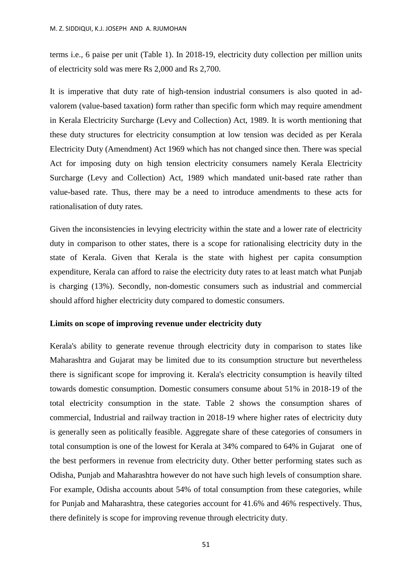terms i.e., 6 paise per unit (Table 1). In 2018-19, electricity duty collection per million units of electricity sold was mere Rs 2,000 and Rs 2,700.

It is imperative that duty rate of high-tension industrial consumers is also quoted in advalorem (value-based taxation) form rather than specific form which may require amendment in Kerala Electricity Surcharge (Levy and Collection) Act, 1989. It is worth mentioning that these duty structures for electricity consumption at low tension was decided as per Kerala Electricity Duty (Amendment) Act 1969 which has not changed since then. There was special Act for imposing duty on high tension electricity consumers namely Kerala Electricity Surcharge (Levy and Collection) Act, 1989 which mandated unit-based rate rather than value-based rate. Thus, there may be a need to introduce amendments to these acts for rationalisation of duty rates.

Given the inconsistencies in levying electricity within the state and a lower rate of electricity duty in comparison to other states, there is a scope for rationalising electricity duty in the state of Kerala. Given that Kerala is the state with highest per capita consumption expenditure, Kerala can afford to raise the electricity duty rates to at least match what Punjab is charging (13%). Secondly, non-domestic consumers such as industrial and commercial should afford higher electricity duty compared to domestic consumers.

### **Limits on scope of improving revenue under electricity duty**

Kerala's ability to generate revenue through electricity duty in comparison to states like Maharashtra and Gujarat may be limited due to its consumption structure but nevertheless there is significant scope for improving it. Kerala's electricity consumption is heavily tilted towards domestic consumption. Domestic consumers consume about 51% in 2018-19 of the total electricity consumption in the state. Table 2 shows the consumption shares of commercial, Industrial and railway traction in 2018-19 where higher rates of electricity duty is generally seen as politically feasible. Aggregate share of these categories of consumers in total consumption is one of the lowest for Kerala at 34% compared to 64% in Gujarat one of the best performers in revenue from electricity duty. Other better performing states such as Odisha, Punjab and Maharashtra however do not have such high levels of consumption share. For example, Odisha accounts about 54% of total consumption from these categories, while for Punjab and Maharashtra, these categories account for 41.6% and 46% respectively. Thus, there definitely is scope for improving revenue through electricity duty.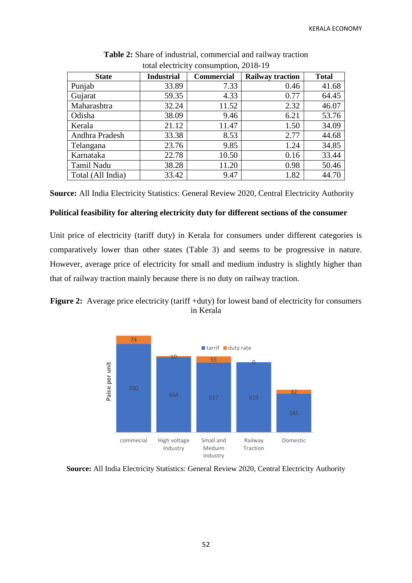| $\frac{1}{2}$ consumption, $\frac{2010-1}{7}$ |                   |                   |                         |              |  |  |  |  |  |  |
|-----------------------------------------------|-------------------|-------------------|-------------------------|--------------|--|--|--|--|--|--|
| <b>State</b>                                  | <b>Industrial</b> | <b>Commercial</b> | <b>Railway traction</b> | <b>Total</b> |  |  |  |  |  |  |
| Punjab                                        | 33.89             | 7.33              | 0.46                    | 41.68        |  |  |  |  |  |  |
| Gujarat                                       | 59.35             | 4.33              | 0.77                    | 64.45        |  |  |  |  |  |  |
| Maharashtra                                   | 32.24             | 11.52             | 2.32                    | 46.07        |  |  |  |  |  |  |
| Odisha                                        | 38.09             | 9.46              | 6.21                    | 53.76        |  |  |  |  |  |  |
| Kerala                                        | 21.12             | 11.47             | 1.50                    | 34.09        |  |  |  |  |  |  |
| Andhra Pradesh                                | 33.38             | 8.53              | 2.77                    | 44.68        |  |  |  |  |  |  |
| Telangana                                     | 23.76             | 9.85              | 1.24                    | 34.85        |  |  |  |  |  |  |
| Karnataka                                     | 22.78             | 10.50             | 0.16                    | 33.44        |  |  |  |  |  |  |
| Tamil Nadu                                    | 38.28             | 11.20             | 0.98                    | 50.46        |  |  |  |  |  |  |
| Total (All India)                             | 33.42             | 9.47              | 1.82                    | 44.70        |  |  |  |  |  |  |

**Table 2:** Share of industrial, commercial and railway traction total electricity consumption, 2018-19

**Source:** All India Electricity Statistics: General Review 2020, Central Electricity Authority

### **Political feasibility for altering electricity duty for different sections of the consumer**

Unit price of electricity (tariff duty) in Kerala for consumers under different categories is comparatively lower than other states (Table 3) and seems to be progressive in nature. However, average price of electricity for small and medium industry is slightly higher than that of railway traction mainly because there is no duty on railway traction.





**Source:** All India Electricity Statistics: General Review 2020, Central Electricity Authority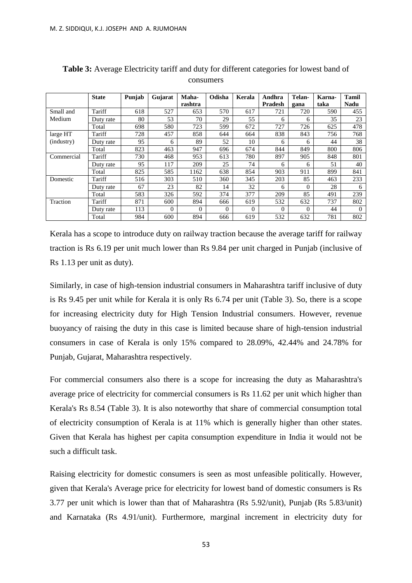|            | <b>State</b> | Punjab | Gujarat  | Maha-    | Odisha   | Kerala   | Andhra   | Telan-   | Karna- | <b>Tamil</b> |
|------------|--------------|--------|----------|----------|----------|----------|----------|----------|--------|--------------|
|            |              |        |          | rashtra  |          |          | Pradesh  | gana     | taka   | Nadu         |
| Small and  | Tariff       | 618    | 527      | 653      | 570      | 617      | 721      | 720      | 590    | 455          |
| Medium     | Duty rate    | 80     | 53       | 70       | 29       | 55       | 6        | 6        | 35     | 23           |
|            | Total        | 698    | 580      | 723      | 599      | 672      | 727      | 726      | 625    | 478          |
| large HT   | Tariff       | 728    | 457      | 858      | 644      | 664      | 838      | 843      | 756    | 768          |
| (industry) | Duty rate    | 95     | 6        | 89       | 52       | 10       | 6        | 6        | 44     | 38           |
|            | Total        | 823    | 463      | 947      | 696      | 674      | 844      | 849      | 800    | 806          |
| Commercial | Tariff       | 730    | 468      | 953      | 613      | 780      | 897      | 905      | 848    | 801          |
|            | Duty rate    | 95     | 117      | 209      | 25       | 74       | 6        | 6        | 51     | 40           |
|            | Total        | 825    | 585      | 1162     | 638      | 854      | 903      | 911      | 899    | 841          |
| Domestic   | Tariff       | 516    | 303      | 510      | 360      | 345      | 203      | 85       | 463    | 233          |
|            | Duty rate    | 67     | 23       | 82       | 14       | 32       | 6        | $\Omega$ | 28     | 6            |
|            | Total        | 583    | 326      | 592      | 374      | 377      | 209      | 85       | 491    | 239          |
| Traction   | Tariff       | 871    | 600      | 894      | 666      | 619      | 532      | 632      | 737    | 802          |
|            | Duty rate    | 113    | $\Omega$ | $\Omega$ | $\Omega$ | $\theta$ | $\Omega$ | $\theta$ | 44     | $\Omega$     |
|            | Total        | 984    | 600      | 894      | 666      | 619      | 532      | 632      | 781    | 802          |

**Table 3:** Average Electricity tariff and duty for different categories for lowest band of consumers

Kerala has a scope to introduce duty on railway traction because the average tariff for railway traction is Rs 6.19 per unit much lower than Rs 9.84 per unit charged in Punjab (inclusive of Rs 1.13 per unit as duty).

Similarly, in case of high-tension industrial consumers in Maharashtra tariff inclusive of duty is Rs 9.45 per unit while for Kerala it is only Rs 6.74 per unit (Table 3). So, there is a scope for increasing electricity duty for High Tension Industrial consumers. However, revenue buoyancy of raising the duty in this case is limited because share of high-tension industrial consumers in case of Kerala is only 15% compared to 28.09%, 42.44% and 24.78% for Punjab, Gujarat, Maharashtra respectively.

For commercial consumers also there is a scope for increasing the duty as Maharashtra's average price of electricity for commercial consumers is Rs 11.62 per unit which higher than Kerala's Rs 8.54 (Table 3). It is also noteworthy that share of commercial consumption total of electricity consumption of Kerala is at 11% which is generally higher than other states. Given that Kerala has highest per capita consumption expenditure in India it would not be such a difficult task.

Raising electricity for domestic consumers is seen as most unfeasible politically. However, given that Kerala's Average price for electricity for lowest band of domestic consumers is Rs 3.77 per unit which is lower than that of Maharashtra (Rs 5.92/unit), Punjab (Rs 5.83/unit) and Karnataka (Rs 4.91/unit). Furthermore, marginal increment in electricity duty for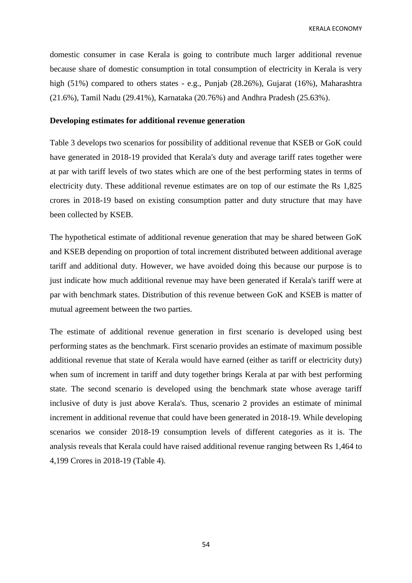domestic consumer in case Kerala is going to contribute much larger additional revenue because share of domestic consumption in total consumption of electricity in Kerala is very high (51%) compared to others states - e.g., Punjab (28.26%), Gujarat (16%), Maharashtra (21.6%), Tamil Nadu (29.41%), Karnataka (20.76%) and Andhra Pradesh (25.63%).

### **Developing estimates for additional revenue generation**

Table 3 develops two scenarios for possibility of additional revenue that KSEB or GoK could have generated in 2018-19 provided that Kerala's duty and average tariff rates together were at par with tariff levels of two states which are one of the best performing states in terms of electricity duty. These additional revenue estimates are on top of our estimate the Rs 1,825 crores in 2018-19 based on existing consumption patter and duty structure that may have been collected by KSEB.

The hypothetical estimate of additional revenue generation that may be shared between GoK and KSEB depending on proportion of total increment distributed between additional average tariff and additional duty. However, we have avoided doing this because our purpose is to just indicate how much additional revenue may have been generated if Kerala's tariff were at par with benchmark states. Distribution of this revenue between GoK and KSEB is matter of mutual agreement between the two parties.

The estimate of additional revenue generation in first scenario is developed using best performing states as the benchmark. First scenario provides an estimate of maximum possible additional revenue that state of Kerala would have earned (either as tariff or electricity duty) when sum of increment in tariff and duty together brings Kerala at par with best performing state. The second scenario is developed using the benchmark state whose average tariff inclusive of duty is just above Kerala's. Thus, scenario 2 provides an estimate of minimal increment in additional revenue that could have been generated in 2018-19. While developing scenarios we consider 2018-19 consumption levels of different categories as it is. The analysis reveals that Kerala could have raised additional revenue ranging between Rs 1,464 to 4,199 Crores in 2018-19 (Table 4).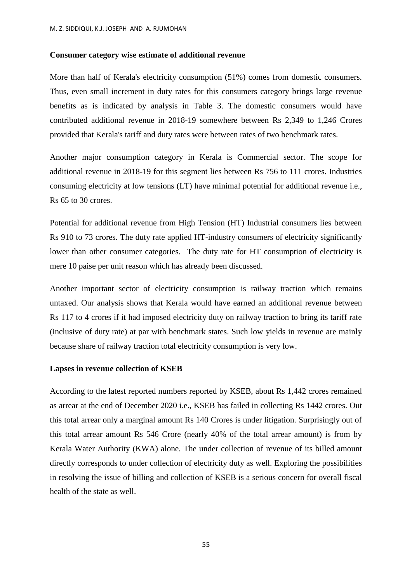#### **Consumer category wise estimate of additional revenue**

More than half of Kerala's electricity consumption (51%) comes from domestic consumers. Thus, even small increment in duty rates for this consumers category brings large revenue benefits as is indicated by analysis in Table 3. The domestic consumers would have contributed additional revenue in 2018-19 somewhere between Rs 2,349 to 1,246 Crores provided that Kerala's tariff and duty rates were between rates of two benchmark rates.

Another major consumption category in Kerala is Commercial sector. The scope for additional revenue in 2018-19 for this segment lies between Rs 756 to 111 crores. Industries consuming electricity at low tensions (LT) have minimal potential for additional revenue i.e., Rs 65 to 30 crores.

Potential for additional revenue from High Tension (HT) Industrial consumers lies between Rs 910 to 73 crores. The duty rate applied HT-industry consumers of electricity significantly lower than other consumer categories. The duty rate for HT consumption of electricity is mere 10 paise per unit reason which has already been discussed.

Another important sector of electricity consumption is railway traction which remains untaxed. Our analysis shows that Kerala would have earned an additional revenue between Rs 117 to 4 crores if it had imposed electricity duty on railway traction to bring its tariff rate (inclusive of duty rate) at par with benchmark states. Such low yields in revenue are mainly because share of railway traction total electricity consumption is very low.

#### **Lapses in revenue collection of KSEB**

According to the latest reported numbers reported by KSEB, about Rs 1,442 crores remained as arrear at the end of December 2020 i.e., KSEB has failed in collecting Rs 1442 crores. Out this total arrear only a marginal amount Rs 140 Crores is under litigation. Surprisingly out of this total arrear amount Rs 546 Crore (nearly 40% of the total arrear amount) is from by Kerala Water Authority (KWA) alone. The under collection of revenue of its billed amount directly corresponds to under collection of electricity duty as well. Exploring the possibilities in resolving the issue of billing and collection of KSEB is a serious concern for overall fiscal health of the state as well.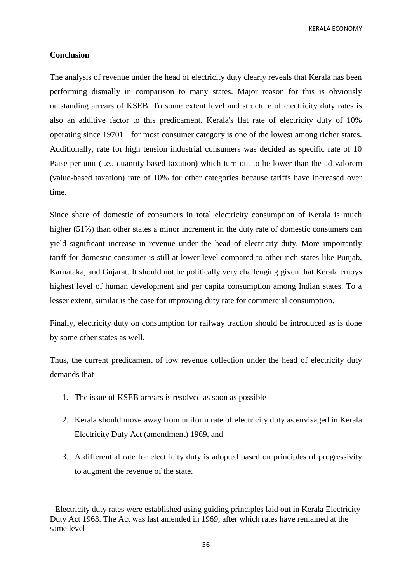### **Conclusion**

**.** 

The analysis of revenue under the head of electricity duty clearly reveals that Kerala has been performing dismally in comparison to many states. Major reason for this is obviously outstanding arrears of KSEB. To some extent level and structure of electricity duty rates is also an additive factor to this predicament. Kerala's flat rate of electricity duty of 10% operating since  $19701<sup>1</sup>$  for most consumer category is one of the lowest among richer states. Additionally, rate for high tension industrial consumers was decided as specific rate of 10 Paise per unit (i.e., quantity-based taxation) which turn out to be lower than the ad-valorem (value-based taxation) rate of 10% for other categories because tariffs have increased over time.

Since share of domestic of consumers in total electricity consumption of Kerala is much higher (51%) than other states a minor increment in the duty rate of domestic consumers can yield significant increase in revenue under the head of electricity duty. More importantly tariff for domestic consumer is still at lower level compared to other rich states like Punjab, Karnataka, and Gujarat. It should not be politically very challenging given that Kerala enjoys highest level of human development and per capita consumption among Indian states. To a lesser extent, similar is the case for improving duty rate for commercial consumption.

Finally, electricity duty on consumption for railway traction should be introduced as is done by some other states as well.

Thus, the current predicament of low revenue collection under the head of electricity duty demands that

- 1. The issue of KSEB arrears is resolved as soon as possible
- 2. Kerala should move away from uniform rate of electricity duty as envisaged in Kerala Electricity Duty Act (amendment) 1969, and
- 3. A differential rate for electricity duty is adopted based on principles of progressivity to augment the revenue of the state.

<sup>&</sup>lt;sup>1</sup> Electricity duty rates were established using guiding principles laid out in Kerala Electricity Duty Act 1963. The Act was last amended in 1969, after which rates have remained at the same level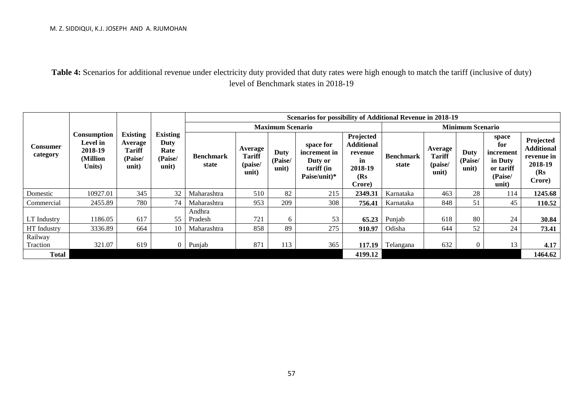**Table 4:** Scenarios for additional revenue under electricity duty provided that duty rates were high enough to match the tariff (inclusive of duty) level of Benchmark states in 2018-19

|                             |                                                                        | <b>Existing</b><br>Average<br><b>Tariff</b><br>(Paise/<br>unit) | <b>Existing</b><br>Duty<br>Rate<br>(Paise/<br>unit) | Scenarios for possibility of Additional Revenue in 2018-19 |                                              |                          |                                                                    |                                                                              |                           |                                              |                          |                                                                       |                                                                          |
|-----------------------------|------------------------------------------------------------------------|-----------------------------------------------------------------|-----------------------------------------------------|------------------------------------------------------------|----------------------------------------------|--------------------------|--------------------------------------------------------------------|------------------------------------------------------------------------------|---------------------------|----------------------------------------------|--------------------------|-----------------------------------------------------------------------|--------------------------------------------------------------------------|
|                             |                                                                        |                                                                 |                                                     | <b>Maximum Scenario</b>                                    |                                              |                          |                                                                    |                                                                              | <b>Minimum Scenario</b>   |                                              |                          |                                                                       |                                                                          |
| <b>Consumer</b><br>category | <b>Consumption</b><br><b>Level</b> in<br>2018-19<br>(Million<br>Units) |                                                                 |                                                     | <b>Benchmark</b><br>state                                  | Average<br><b>Tariff</b><br>(paise/<br>unit) | Duty<br>(Paise/<br>unit) | space for<br>increment in<br>Duty or<br>tariff (in<br>Paise/unit)* | Projected<br><b>Additional</b><br>revenue<br>in<br>2018-19<br>(Rs)<br>Crore) | <b>Benchmark</b><br>state | Average<br><b>Tariff</b><br>(paise/<br>unit) | Duty<br>(Paise/<br>unit) | space<br>for<br>increment<br>in Duty<br>or tariff<br>(Paise/<br>unit) | Projected<br><b>Additional</b><br>revenue in<br>2018-19<br>(Rs<br>Crore) |
| Domestic                    | 10927.01                                                               | 345                                                             | 32                                                  | Maharashtra                                                | 510                                          | 82                       | 215                                                                | 2349.31                                                                      | Karnataka                 | 463                                          | 28                       | 114                                                                   | 1245.68                                                                  |
| Commercial                  | 2455.89                                                                | 780                                                             | 74                                                  | Maharashtra                                                | 953                                          | 209                      | 308                                                                | 756.41                                                                       | Karnataka                 | 848                                          | 51                       | 45                                                                    | 110.52                                                                   |
| LT Industry                 | 1186.05                                                                | 617                                                             | 55                                                  | Andhra<br>Pradesh                                          | 721                                          | 6                        | 53                                                                 | 65.23                                                                        | Punjab                    | 618                                          | 80                       | 24                                                                    | 30.84                                                                    |
| HT Industry                 | 3336.89                                                                | 664                                                             | 10                                                  | Maharashtra                                                | 858                                          | 89                       | 275                                                                | 910.97                                                                       | Odisha                    | 644                                          | 52                       | 24                                                                    | 73.41                                                                    |
| Railway<br>Traction         | 321.07                                                                 | 619                                                             | $\overline{0}$                                      | Punjab                                                     | 871                                          | 113                      | 365                                                                | 117.19                                                                       | Telangana                 | 632                                          | $\Omega$                 | 13                                                                    | 4.17                                                                     |
| <b>Total</b>                |                                                                        |                                                                 |                                                     |                                                            |                                              |                          |                                                                    | 4199.12                                                                      |                           |                                              |                          |                                                                       | 1464.62                                                                  |